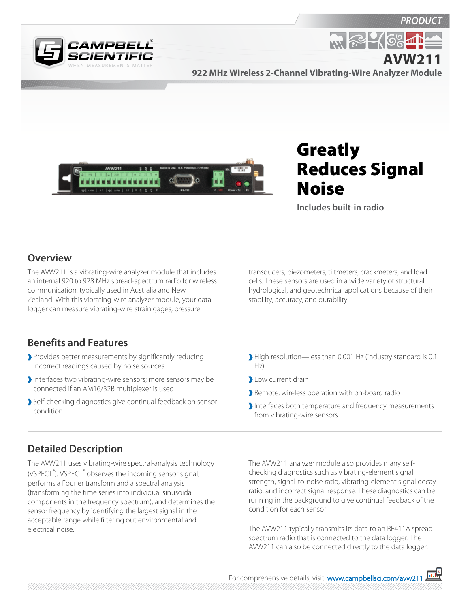



**922 MHz Wireless 2-Channel Vibrating-Wire Analyzer Module AVW211**



# Greatly Reduces Signal Noise

**M. R. 16%** 

**Includes built-in radio**

#### **Overview**

The AVW211 is a vibrating-wire analyzer module that includes an internal 920 to 928 MHz spread-spectrum radio for wireless communication, typically used in Australia and New Zealand. With this vibrating-wire analyzer module, your data logger can measure vibrating-wire strain gages, pressure

transducers, piezometers, tiltmeters, crackmeters, and load cells. These sensors are used in a wide variety of structural, hydrological, and geotechnical applications because of their stability, accuracy, and durability.

#### **Benefits and Features**

- Provides better measurements by significantly reducing incorrect readings caused by noise sources
- Interfaces two vibrating-wire sensors; more sensors may be connected if an AM16/32B multiplexer is used
- Self-checking diagnostics give continual feedback on sensor condition
- High resolution—less than 0.001 Hz (industry standard is 0.1 Hz)
- Low current drain
- Remote, wireless operation with on-board radio
- Interfaces both temperature and frequency measurements from vibrating-wire sensors

## **Detailed Description**

The AVW211 uses vibrating-wire spectral-analysis technology (VSPECT<sup>®</sup>). VSPECT<sup>®</sup> observes the incoming sensor signal, performs a Fourier transform and a spectral analysis (transforming the time series into individual sinusoidal components in the frequency spectrum), and determines the sensor frequency by identifying the largest signal in the acceptable range while filtering out environmental and electrical noise.

The AVW211 analyzer module also provides many selfchecking diagnostics such as vibrating-element signal strength, signal-to-noise ratio, vibrating-element signal decay ratio, and incorrect signal response. These diagnostics can be running in the background to give continual feedback of the condition for each sensor.

The AVW211 typically transmits its data to an RF411A spreadspectrum radio that is connected to the data logger. The AVW211 can also be connected directly to the data logger.